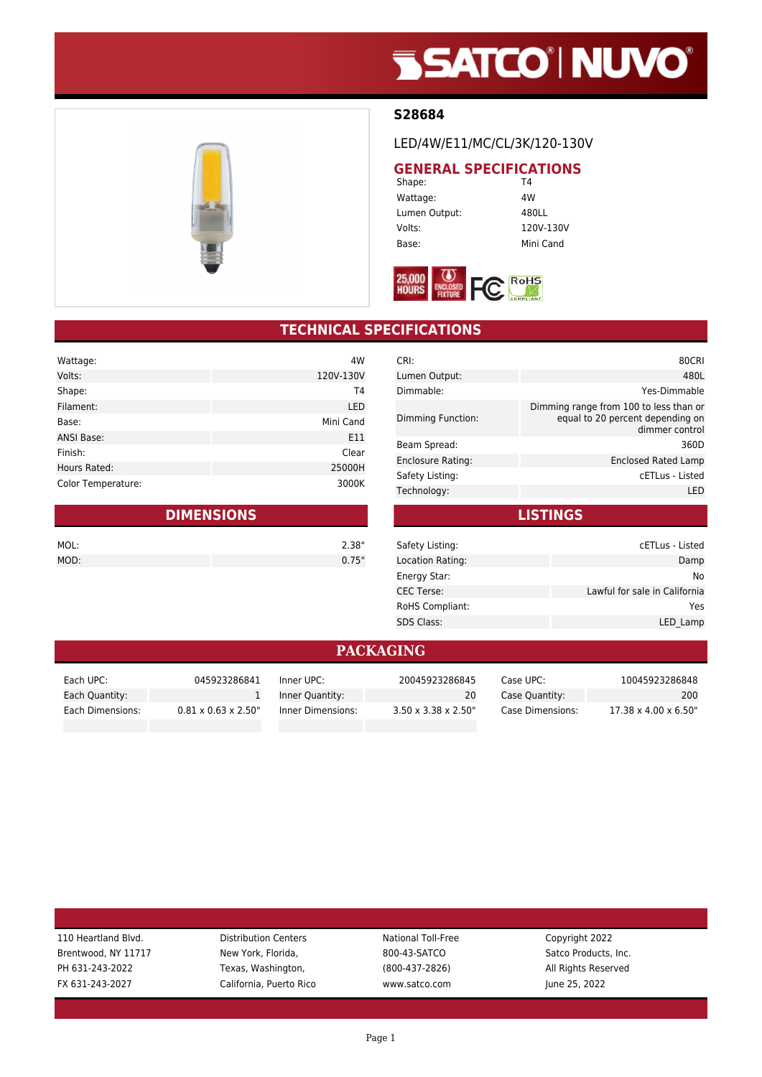# **SSATCO' NUVO'**

### **S28684**

LED/4W/E11/MC/CL/3K/120-130V

## **GENERAL SPECIFICATIONS**<br>Shape: T4

Shape: Wattage: 4W Lumen Output: 480LL Volts: 120V-130V Base: Mini Cand



## **TECHNICAL SPECIFICATIONS**

| Wattage:           | 4W         |
|--------------------|------------|
| Volts:             | 120V-130V  |
| Shape:             | T4         |
| Filament:          | <b>LED</b> |
| Base:              | Mini Cand  |
| <b>ANSI Base:</b>  | E11        |
| Finish:            | Clear      |
| Hours Rated:       | 25000H     |
| Color Temperature: | 3000K      |

| <b>DIMENSIONS</b> |  |       |
|-------------------|--|-------|
| MOL:              |  | 2.38" |
| MOD:              |  | 0.75" |

| CRI:                     | 80CRI                                                                                        |
|--------------------------|----------------------------------------------------------------------------------------------|
| Lumen Output:            | 480L                                                                                         |
| Dimmable:                | Yes-Dimmable                                                                                 |
| Dimming Function:        | Dimming range from 100 to less than or<br>equal to 20 percent depending on<br>dimmer control |
| Beam Spread:             | 360D                                                                                         |
| <b>Enclosure Rating:</b> | Enclosed Rated Lamp                                                                          |
| Safety Listing:          | cETLus - Listed                                                                              |
| Technology:              | I FD                                                                                         |
|                          |                                                                                              |

**LISTINGS**

| Safety Listing:   | cETLus - Listed               |
|-------------------|-------------------------------|
| Location Rating:  | Damp                          |
| Energy Star:      | No                            |
| <b>CEC Terse:</b> | Lawful for sale in California |
| RoHS Compliant:   | Yes                           |
| <b>SDS Class:</b> | LED Lamp                      |
|                   |                               |

#### **PACKAGING**

| Each UPC:        | 045923286841                     | Inner UPC:        | 20045923286845                   | Case UPC: .      | 10045923286848                    |
|------------------|----------------------------------|-------------------|----------------------------------|------------------|-----------------------------------|
| Each Quantity:   |                                  | Inner Quantity:   | 20                               | Case Quantity:   | 200                               |
| Each Dimensions: | $0.81 \times 0.63 \times 2.50$ " | Inner Dimensions: | $3.50 \times 3.38 \times 2.50$ " | Case Dimensions: | $17.38 \times 4.00 \times 6.50$ " |

FX 631-243-2027 California, Puerto Rico www.satco.com June 25, 2022

110 Heartland Blvd. **Distribution Centers** National Toll-Free Copyright 2022 Brentwood, NY 11717 New York, Florida, 800-43-SATCO Satco Products, Inc. PH 631-243-2022 Texas, Washington, (800-437-2826) All Rights Reserved